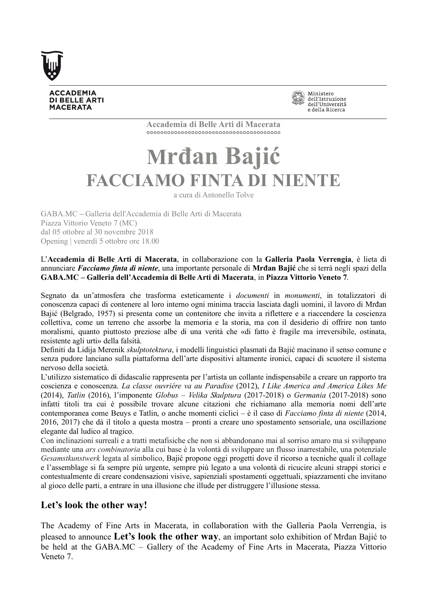

**ACCADEMIA DI BELLE ARTI MACERATA** 



**Accademia di Belle Arti di Macerata** °°°°°°°°°°°°°°°°°°°°°°°°°°°°°°°°°°°°°°°

## **Mrđan Bajić FACCIAMO FINTA DI NIENTE**

a cura di Antonello Tolve

GABA.MC **–** Galleria dell'Accademia di Belle Arti di Macerata Piazza Vittorio Veneto 7 (MC) dal 05 ottobre al 30 novembre 2018 Opening | venerdì 5 ottobre ore 18.00

L'**Accademia di Belle Arti di Macerata**, in collaborazione con la **Galleria Paola Verrengia**, è lieta di annunciare *Facciamo finta di niente*, una importante personale di **Mrđan Bajić** che si terrà negli spazi della **GABA.MC – Galleria dell'Accademia di Belle Arti di Macerata**, in **Piazza Vittorio Veneto 7**.

Segnato da un'atmosfera che trasforma esteticamente i *documenti* in *monumenti*, in totalizzatori di conoscenza capaci di contenere al loro interno ogni minima traccia lasciata dagli uomini, il lavoro di Mrđan Bajić (Belgrado, 1957) si presenta come un contenitore che invita a riflettere e a riaccendere la coscienza collettiva, come un terreno che assorbe la memoria e la storia, ma con il desiderio di offrire non tanto moralismi, quanto piuttosto preziose albe di una verità che «di fatto è fragile ma irreversibile, ostinata, resistente agli urti» della falsità.

Definiti da Lidija Merenik *skulptotektura*, i modelli linguistici plasmati da Bajić macinano il senso comune e senza pudore lanciano sulla piattaforma dell'arte dispositivi altamente ironici, capaci di scuotere il sistema nervoso della società.

L'utilizzo sistematico di didascalie rappresenta per l'artista un collante indispensabile a creare un rapporto tra coscienza e conoscenza. *La classe ouvriére va au Paradise* (2012), *I Like America and America Likes Me* (2014), *Tatlin* (2016), l'imponente *Globus – Velika Skulptura* (2017-2018) o *Germania* (2017-2018) sono infatti titoli tra cui è possibile trovare alcune citazioni che richiamano alla memoria nomi dell'arte contemporanea come Beuys e Tatlin, o anche momenti ciclici – è il caso di *Facciamo finta di niente* (2014, 2016, 2017) che dà il titolo a questa mostra – pronti a creare uno spostamento sensoriale, una oscillazione elegante dal ludico al tragico.

Con inclinazioni surreali e a tratti metafisiche che non si abbandonano mai al sorriso amaro ma si sviluppano mediante una *ars combinatoria* alla cui base è la volontà di sviluppare un flusso inarrestabile, una potenziale *Gesamstkunstwerk* legata al simbolico, Bajić propone oggi progetti dove il ricorso a tecniche quali il collage e l'assemblage si fa sempre più urgente, sempre più legato a una volontà di ricucire alcuni strappi storici e contestualmente di creare condensazioni visive, sapienziali spostamenti oggettuali, spiazzamenti che invitano al gioco delle parti, a entrare in una illusione che illude per distruggere l'illusione stessa.

## **Let's look the other way!**

The Academy of Fine Arts in Macerata, in collaboration with the Galleria Paola Verrengia, is pleased to announce **Let's look the other way**, an important solo exhibition of Mrđan Bajić to be held at the GABA.MC – Gallery of the Academy of Fine Arts in Macerata, Piazza Vittorio Veneto 7.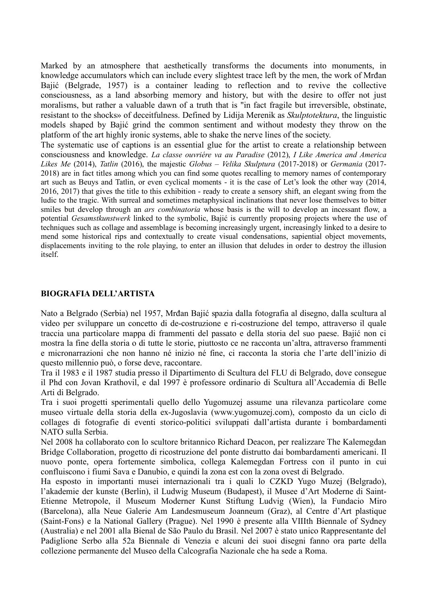Marked by an atmosphere that aesthetically transforms the documents into monuments, in knowledge accumulators which can include every slightest trace left by the men, the work of Mrđan Bajić (Belgrade, 1957) is a container leading to reflection and to revive the collective consciousness, as a land absorbing memory and history, but with the desire to offer not just moralisms, but rather a valuable dawn of a truth that is "in fact fragile but irreversible, obstinate, resistant to the shocks» of deceitfulness. Defined by Lidija Merenik as *Skulptotektura*, the linguistic models shaped by Bajić grind the common sentiment and without modesty they throw on the platform of the art highly ironic systems, able to shake the nerve lines of the society.

The systematic use of captions is an essential glue for the artist to create a relationship between consciousness and knowledge. *La classe ouvriére va au Paradise* (2012), *I Like America and America Likes Me* (2014), *Tatlin* (2016), the majestic *Globus – Velika Skulptura* (2017-2018) or *Germania* (2017- 2018) are in fact titles among which you can find some quotes recalling to memory names of contemporary art such as Beuys and Tatlin, or even cyclical moments - it is the case of Let's look the other way (2014, 2016, 2017) that gives the title to this exhibition - ready to create a sensory shift, an elegant swing from the ludic to the tragic. With surreal and sometimes metaphysical inclinations that never lose themselves to bitter smiles but develop through an *ars combinatoria* whose basis is the will to develop an incessant flow, a potential *Gesamstkunstwerk* linked to the symbolic, Bajić is currently proposing projects where the use of techniques such as collage and assemblage is becoming increasingly urgent, increasingly linked to a desire to mend some historical rips and contextually to create visual condensations, sapiential object movements, displacements inviting to the role playing, to enter an illusion that deludes in order to destroy the illusion itself.

## **BIOGRAFIA DELL'ARTISTA**

Nato a Belgrado (Serbia) nel 1957, Mrđan Bajić spazia dalla fotografia al disegno, dalla scultura al video per sviluppare un concetto di de-costruzione e ri-costruzione del tempo, attraverso il quale traccia una particolare mappa di frammenti del passato e della storia del suo paese. Bajić non ci mostra la fine della storia o di tutte le storie, piuttosto ce ne racconta un'altra, attraverso frammenti e micronarrazioni che non hanno né inizio né fine, ci racconta la storia che l'arte dell'inizio di questo millennio può, o forse deve, raccontare.

Tra il 1983 e il 1987 studia presso il Dipartimento di Scultura del FLU di Belgrado, dove consegue il Phd con Jovan Krathovil, e dal 1997 è professore ordinario di Scultura all'Accademia di Belle Arti di Belgrado.

Tra i suoi progetti sperimentali quello dello Yugomuzej assume una rilevanza particolare come museo virtuale della storia della ex-Jugoslavia (www.yugomuzej.com), composto da un ciclo di collages di fotografie di eventi storico-politici sviluppati dall'artista durante i bombardamenti NATO sulla Serbia.

Nel 2008 ha collaborato con lo scultore britannico Richard Deacon, per realizzare The Kalemegdan Bridge Collaboration, progetto di ricostruzione del ponte distrutto dai bombardamenti americani. Il nuovo ponte, opera fortemente simbolica, collega Kalemegdan Fortress con il punto in cui confluiscono i fiumi Sava e Danubio, e quindi la zona est con la zona ovest di Belgrado.

Ha esposto in importanti musei internazionali tra i quali lo CZKD Yugo Muzej (Belgrado), l'akademie der kunste (Berlin), il Ludwig Museum (Budapest), il Musee d'Art Moderne di Saint-Etienne Metropole, il Museum Moderner Kunst Stiftung Ludvig (Wien), la Fundacio Miro (Barcelona), alla Neue Galerie Am Landesmuseum Joanneum (Graz), al Centre d'Art plastique (Saint-Fons) e la National Gallery (Prague). Nel 1990 è presente alla VIIIth Biennale of Sydney (Australia) e nel 2001 alla Bienal de São Paulo du Brasil. Nel 2007 è stato unico Rappresentante del Padiglione Serbo alla 52a Biennale di Venezia e alcuni dei suoi disegni fanno ora parte della collezione permanente del Museo della Calcografia Nazionale che ha sede a Roma.